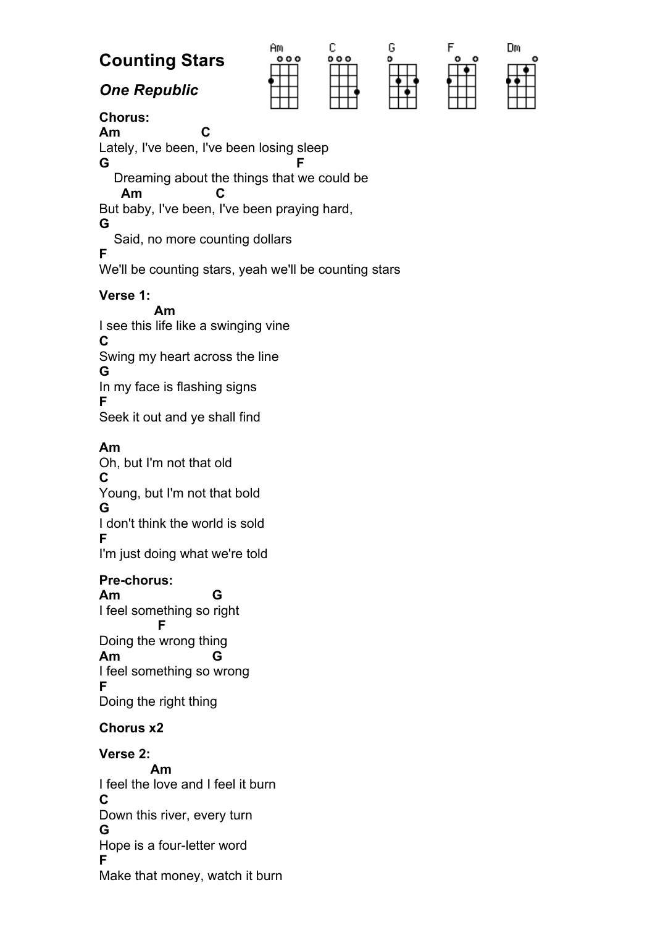# **Counting Stars**

*One Republic*





| Dm |  |
|----|--|
|    |  |
|    |  |
|    |  |
|    |  |
|    |  |

## **Chorus:**

**Am C**  Lately, I've been, I've been losing sleep **G** F Dreaming about the things that we could be  **Am C**  But baby, I've been, I've been praying hard, **G**  Said, no more counting dollars **F**  We'll be counting stars, yeah we'll be counting stars

#### **Verse 1:**

 **Am**  I see this life like a swinging vine **C**  Swing my heart across the line **G**  In my face is flashing signs **F**  Seek it out and ye shall find

### **Am**

Oh, but I'm not that old **C**  Young, but I'm not that bold **G**  I don't think the world is sold **F**  I'm just doing what we're told

## **Pre-chorus:**

**Am G**  I feel something so right  **F**  Doing the wrong thing **Am G**  I feel something so wrong **F**  Doing the right thing

## **Chorus x2**

**Verse 2: Am**  I feel the love and I feel it burn **C**  Down this river, every turn **G**  Hope is a four-letter word **F**  Make that money, watch it burn